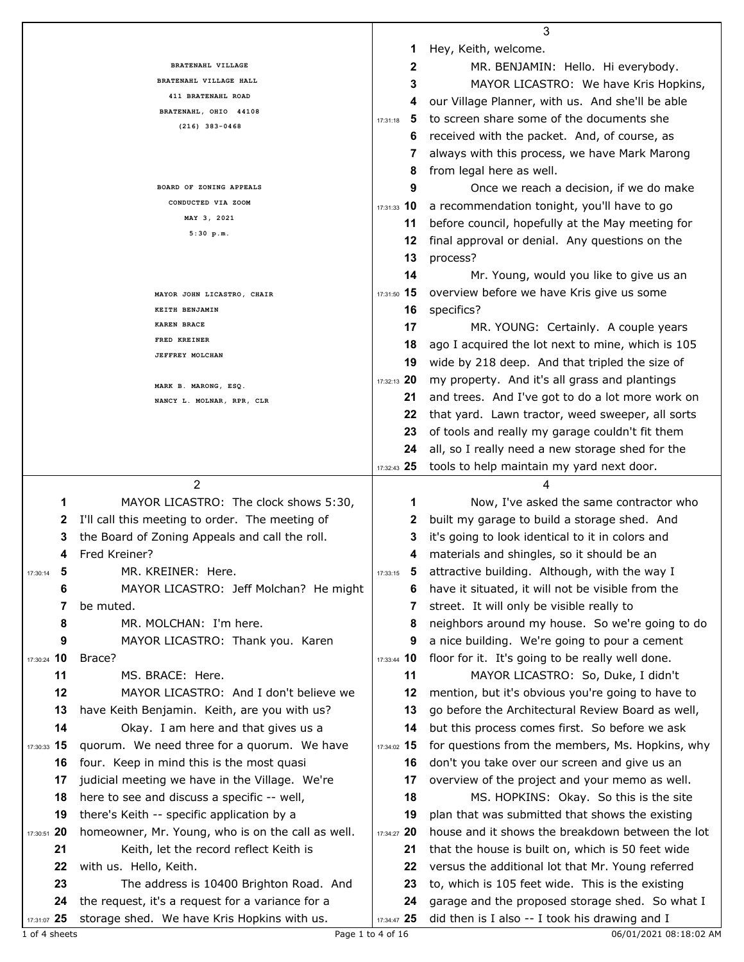|                                                                  |                   | 3                                                 |
|------------------------------------------------------------------|-------------------|---------------------------------------------------|
|                                                                  | 1                 | Hey, Keith, welcome.                              |
| BRATENAHL VILLAGE                                                | 2                 | MR. BENJAMIN: Hello. Hi everybody.                |
| BRATENAHL VILLAGE HALL                                           | 3                 | MAYOR LICASTRO: We have Kris Hopkins,             |
| 411 BRATENAHL ROAD                                               | 4                 | our Village Planner, with us. And she'll be able  |
| BRATENAHL, OHIO 44108                                            | 5<br>17:31:18     | to screen share some of the documents she         |
| $(216)$ 383-0468                                                 | 6                 | received with the packet. And, of course, as      |
|                                                                  | 7                 | always with this process, we have Mark Marong     |
|                                                                  | 8                 | from legal here as well.                          |
| BOARD OF ZONING APPEALS                                          | 9                 | Once we reach a decision, if we do make           |
| CONDUCTED VIA ZOOM                                               | 17:31:33 10       | a recommendation tonight, you'll have to go       |
| MAY 3, 2021                                                      | 11                | before council, hopefully at the May meeting for  |
| 5:30 p.m.                                                        | 12                | final approval or denial. Any questions on the    |
|                                                                  |                   |                                                   |
|                                                                  | 13                | process?                                          |
|                                                                  | 14                | Mr. Young, would you like to give us an           |
| MAYOR JOHN LICASTRO, CHAIR                                       | 17:31:50 15       | overview before we have Kris give us some         |
| KEITH BENJAMIN                                                   | 16                | specifics?                                        |
| KAREN BRACE<br>FRED KREINER                                      | 17                | MR. YOUNG: Certainly. A couple years              |
| JEFFREY MOLCHAN                                                  | 18                | ago I acquired the lot next to mine, which is 105 |
|                                                                  | 19                | wide by 218 deep. And that tripled the size of    |
| MARK B. MARONG, ESQ.                                             | 17:32:13 20       | my property. And it's all grass and plantings     |
| NANCY L. MOLNAR, RPR, CLR                                        | 21                | and trees. And I've got to do a lot more work on  |
|                                                                  | 22                | that yard. Lawn tractor, weed sweeper, all sorts  |
|                                                                  | 23                | of tools and really my garage couldn't fit them   |
|                                                                  | 24                | all, so I really need a new storage shed for the  |
|                                                                  | 17:32:43 25       | tools to help maintain my yard next door.         |
| $\overline{2}$                                                   |                   | 4                                                 |
| MAYOR LICASTRO: The clock shows 5:30,<br>1                       | 1                 | Now, I've asked the same contractor who           |
| I'll call this meeting to order. The meeting of<br>2             | 2                 | built my garage to build a storage shed. And      |
| the Board of Zoning Appeals and call the roll.<br>3              | З                 | it's going to look identical to it in colors and  |
| Fred Kreiner?<br>4                                               | 4                 | materials and shingles, so it should be an        |
| MR. KREINER: Here.<br>5<br>17:30:14                              | 5<br>17:33:15     | attractive building. Although, with the way I     |
| MAYOR LICASTRO: Jeff Molchan? He might<br>6                      | 6                 | have it situated, it will not be visible from the |
| be muted.<br>7                                                   | 7                 | street. It will only be visible really to         |
| MR. MOLCHAN: I'm here.<br>8                                      | 8                 | neighbors around my house. So we're going to do   |
| MAYOR LICASTRO: Thank you. Karen<br>9                            | 9                 | a nice building. We're going to pour a cement     |
| 17:30:24 10<br>Brace?                                            | 17:33:44 10       | floor for it. It's going to be really well done.  |
| 11<br>MS. BRACE: Here.                                           | 11                | MAYOR LICASTRO: So, Duke, I didn't                |
| 12<br>MAYOR LICASTRO: And I don't believe we                     | 12                | mention, but it's obvious you're going to have to |
| 13<br>have Keith Benjamin. Keith, are you with us?               | 13                | go before the Architectural Review Board as well, |
| 14<br>Okay. I am here and that gives us a                        | 14                | but this process comes first. So before we ask    |
| 17:30:33 15<br>quorum. We need three for a quorum. We have       | 17:34:02 15       | for questions from the members, Ms. Hopkins, why  |
| four. Keep in mind this is the most quasi<br>16                  | 16                | don't you take over our screen and give us an     |
| 17<br>judicial meeting we have in the Village. We're             | 17                | overview of the project and your memo as well.    |
| here to see and discuss a specific -- well,<br>18                | 18                | MS. HOPKINS: Okay. So this is the site            |
| 19<br>there's Keith -- specific application by a                 | 19                | plan that was submitted that shows the existing   |
| 17:30:51 20<br>homeowner, Mr. Young, who is on the call as well. | 17:34:27 20       | house and it shows the breakdown between the lot  |
| 21<br>Keith, let the record reflect Keith is                     | 21                | that the house is built on, which is 50 feet wide |
| with us. Hello, Keith.<br>22                                     | 22                | versus the additional lot that Mr. Young referred |
| 23<br>The address is 10400 Brighton Road. And                    | 23                | to, which is 105 feet wide. This is the existing  |
| the request, it's a request for a variance for a<br>24           | 24                | garage and the proposed storage shed. So what I   |
| 17:31:07 25<br>storage shed. We have Kris Hopkins with us.       | 17:34:47 25       | did then is I also -- I took his drawing and I    |
| 1 of 4 sheets                                                    | Page 1 to 4 of 16 | 06/01/2021 08:18:02 AM                            |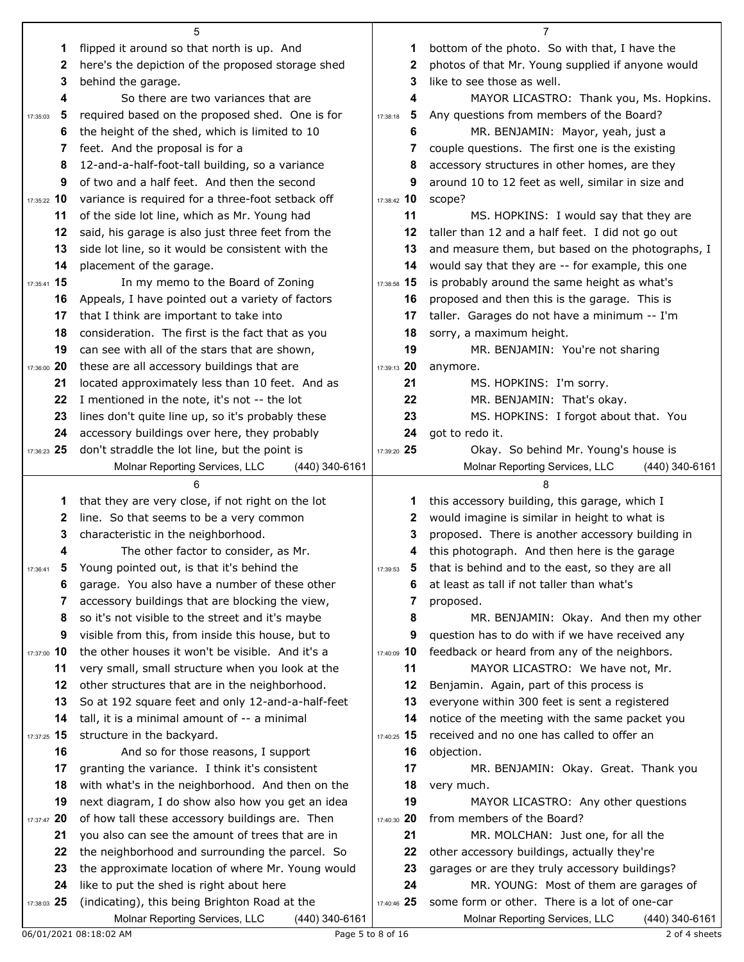|               | 5                                                                                                 |               | 7                                                                                                 |
|---------------|---------------------------------------------------------------------------------------------------|---------------|---------------------------------------------------------------------------------------------------|
| 1             | flipped it around so that north is up. And                                                        | 1             | bottom of the photo. So with that, I have the                                                     |
| 2             | here's the depiction of the proposed storage shed                                                 | 2             | photos of that Mr. Young supplied if anyone would                                                 |
| 3             | behind the garage.                                                                                | 3             | like to see those as well.                                                                        |
| 4             | So there are two variances that are                                                               | 4             | MAYOR LICASTRO: Thank you, Ms. Hopkins.                                                           |
| 5<br>17:35:03 | required based on the proposed shed. One is for                                                   | 5<br>17:38:18 | Any questions from members of the Board?                                                          |
| 6             | the height of the shed, which is limited to 10                                                    | 6             | MR. BENJAMIN: Mayor, yeah, just a                                                                 |
| 7             | feet. And the proposal is for a                                                                   | 7             | couple questions. The first one is the existing                                                   |
| 8             | 12-and-a-half-foot-tall building, so a variance                                                   | 8             | accessory structures in other homes, are they                                                     |
| 9             | of two and a half feet. And then the second                                                       | 9             | around 10 to 12 feet as well, similar in size and                                                 |
| 17:35:22 10   | variance is required for a three-foot setback off                                                 | 17:38:42 10   | scope?                                                                                            |
| 11            | of the side lot line, which as Mr. Young had                                                      | 11            | MS. HOPKINS: I would say that they are                                                            |
| 12            | said, his garage is also just three feet from the                                                 | 12            | taller than 12 and a half feet. I did not go out                                                  |
| 13            | side lot line, so it would be consistent with the                                                 | 13            | and measure them, but based on the photographs, I                                                 |
| 14            | placement of the garage.                                                                          | 14            | would say that they are -- for example, this one                                                  |
| 17:35:41 15   | In my memo to the Board of Zoning                                                                 | 17:38:58 15   | is probably around the same height as what's                                                      |
| 16            | Appeals, I have pointed out a variety of factors                                                  | 16            | proposed and then this is the garage. This is                                                     |
| 17            | that I think are important to take into                                                           | 17            | taller. Garages do not have a minimum -- I'm                                                      |
| 18            | consideration. The first is the fact that as you                                                  | 18            | sorry, a maximum height.                                                                          |
| 19            | can see with all of the stars that are shown,                                                     | 19            | MR. BENJAMIN: You're not sharing                                                                  |
| 17:36:00 20   | these are all accessory buildings that are                                                        | 17:39:13 20   | anymore.                                                                                          |
| 21            | located approximately less than 10 feet. And as                                                   | 21            | MS. HOPKINS: I'm sorry.                                                                           |
| 22            | I mentioned in the note, it's not -- the lot                                                      | 22            | MR. BENJAMIN: That's okay.                                                                        |
| 23            | lines don't quite line up, so it's probably these                                                 | 23            | MS. HOPKINS: I forgot about that. You                                                             |
| 24            | accessory buildings over here, they probably                                                      | 24            | got to redo it.                                                                                   |
| 17:36:23 25   | don't straddle the lot line, but the point is                                                     | 17:39:20 25   | Okay. So behind Mr. Young's house is                                                              |
|               | Molnar Reporting Services, LLC<br>(440) 340-6161                                                  |               | Molnar Reporting Services, LLC<br>(440) 340-6161                                                  |
|               |                                                                                                   |               |                                                                                                   |
| 1             | that they are very close, if not right on the lot                                                 | 1             | this accessory building, this garage, which I                                                     |
| 2             | line. So that seems to be a very common                                                           | 2             | would imagine is similar in height to what is                                                     |
| 3             | characteristic in the neighborhood.                                                               | 3             | proposed. There is another accessory building in                                                  |
| 4             | The other factor to consider, as Mr.                                                              | 4             | this photograph. And then here is the garage                                                      |
|               | Young pointed out, is that it's behind the                                                        | 17:39:53      |                                                                                                   |
| 6             |                                                                                                   |               | that is behind and to the east, so they are all                                                   |
|               | garage. You also have a number of these other                                                     | 6             | at least as tall if not taller than what's                                                        |
| 7             | accessory buildings that are blocking the view,                                                   | 7             | proposed.                                                                                         |
| 8             | so it's not visible to the street and it's maybe                                                  | 8             | MR. BENJAMIN: Okay. And then my other                                                             |
| 9             | visible from this, from inside this house, but to                                                 | 9             | question has to do with if we have received any                                                   |
| 17:37:00 10   | the other houses it won't be visible. And it's a                                                  | 17:40:09 10   | feedback or heard from any of the neighbors.                                                      |
| 11            | very small, small structure when you look at the                                                  | 11            | MAYOR LICASTRO: We have not, Mr.                                                                  |
| 12            | other structures that are in the neighborhood.                                                    | 12            | Benjamin. Again, part of this process is                                                          |
| 13            | So at 192 square feet and only 12-and-a-half-feet                                                 | 13            | everyone within 300 feet is sent a registered                                                     |
| 14            | tall, it is a minimal amount of -- a minimal                                                      | 14            | notice of the meeting with the same packet you                                                    |
| 17:37:25 15   | structure in the backyard.                                                                        | 17:40:25 15   | received and no one has called to offer an                                                        |
| 16            | And so for those reasons, I support                                                               | 16            | objection.                                                                                        |
| 17            | granting the variance. I think it's consistent                                                    | 17            | MR. BENJAMIN: Okay. Great. Thank you                                                              |
| 18            | with what's in the neighborhood. And then on the                                                  | 18            | very much.                                                                                        |
| 19            | next diagram, I do show also how you get an idea                                                  | 19            | MAYOR LICASTRO: Any other questions                                                               |
| 17:37:47 20   | of how tall these accessory buildings are. Then                                                   | 17:40:30 20   | from members of the Board?                                                                        |
| 21            | you also can see the amount of trees that are in                                                  | 21            | MR. MOLCHAN: Just one, for all the                                                                |
| 22            | the neighborhood and surrounding the parcel. So                                                   | 22            | other accessory buildings, actually they're                                                       |
| 23            | the approximate location of where Mr. Young would                                                 | 23            | garages or are they truly accessory buildings?                                                    |
| 24            | like to put the shed is right about here                                                          | 24            | MR. YOUNG: Most of them are garages of                                                            |
| 17:38:03 25   | (indicating), this being Brighton Road at the<br>Molnar Reporting Services, LLC<br>(440) 340-6161 | 17:40:46 25   | some form or other. There is a lot of one-car<br>Molnar Reporting Services, LLC<br>(440) 340-6161 |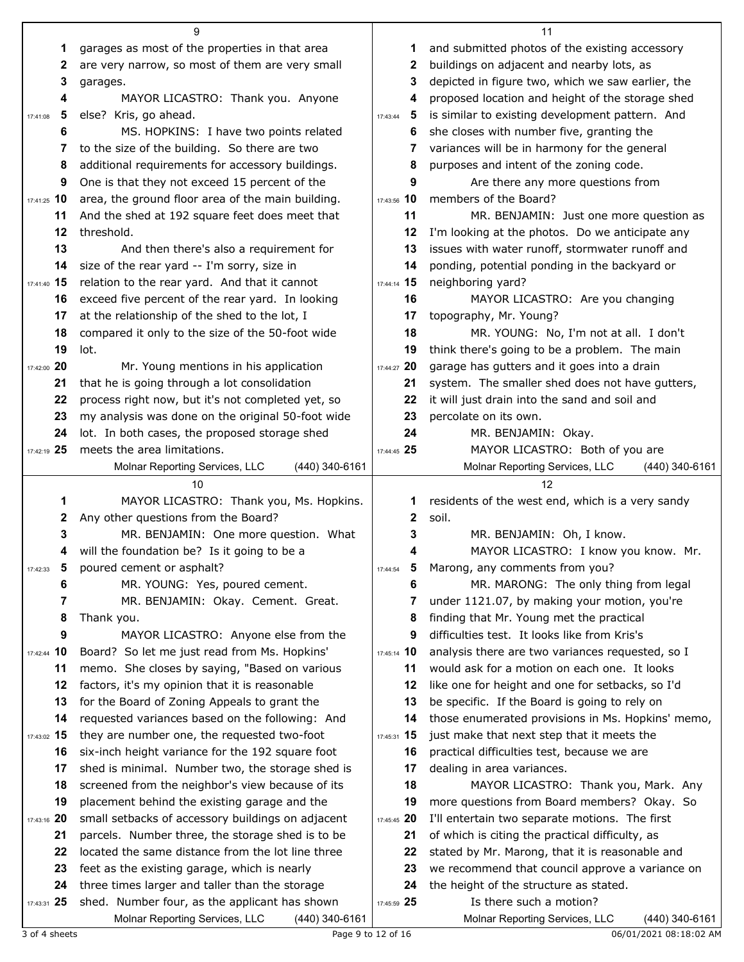|                   | 9                                                                                                     |                                     | 11                                                                                                |
|-------------------|-------------------------------------------------------------------------------------------------------|-------------------------------------|---------------------------------------------------------------------------------------------------|
| 1                 | garages as most of the properties in that area                                                        | 1                                   | and submitted photos of the existing accessory                                                    |
| 2                 | are very narrow, so most of them are very small                                                       | 2                                   | buildings on adjacent and nearby lots, as                                                         |
| 3                 | garages.                                                                                              | 3                                   | depicted in figure two, which we saw earlier, the                                                 |
| 4                 | MAYOR LICASTRO: Thank you. Anyone                                                                     | 4                                   | proposed location and height of the storage shed                                                  |
| 5<br>17:41:08     | else? Kris, go ahead.                                                                                 | 5<br>17:43:44                       | is similar to existing development pattern. And                                                   |
| 6                 | MS. HOPKINS: I have two points related                                                                | 6                                   | she closes with number five, granting the                                                         |
| 7                 | to the size of the building. So there are two                                                         | 7                                   | variances will be in harmony for the general                                                      |
| 8                 | additional requirements for accessory buildings.                                                      | 8                                   | purposes and intent of the zoning code.                                                           |
| 9                 | One is that they not exceed 15 percent of the                                                         | 9                                   | Are there any more questions from                                                                 |
| 17:41:25 10       | area, the ground floor area of the main building.                                                     | 17:43:56 10                         | members of the Board?                                                                             |
| 11                | And the shed at 192 square feet does meet that                                                        | 11                                  | MR. BENJAMIN: Just one more question as                                                           |
| 12                | threshold.                                                                                            | 12                                  | I'm looking at the photos. Do we anticipate any                                                   |
| 13                | And then there's also a requirement for                                                               | 13                                  | issues with water runoff, stormwater runoff and                                                   |
| 14                | size of the rear yard -- I'm sorry, size in                                                           | 14                                  | ponding, potential ponding in the backyard or                                                     |
| 17:41:40 15       | relation to the rear yard. And that it cannot                                                         | 17:44:14 15                         | neighboring yard?                                                                                 |
| 16                | exceed five percent of the rear yard. In looking                                                      | 16                                  | MAYOR LICASTRO: Are you changing                                                                  |
| 17                | at the relationship of the shed to the lot, I                                                         | 17                                  | topography, Mr. Young?                                                                            |
| 18                | compared it only to the size of the 50-foot wide                                                      | 18                                  | MR. YOUNG: No, I'm not at all. I don't                                                            |
| 19                | lot.                                                                                                  | 19                                  | think there's going to be a problem. The main                                                     |
| 17:42:00 20       | Mr. Young mentions in his application                                                                 | 17:44:27 20                         | garage has gutters and it goes into a drain                                                       |
| 21                | that he is going through a lot consolidation                                                          | 21                                  | system. The smaller shed does not have gutters,                                                   |
| 22                | process right now, but it's not completed yet, so                                                     | 22                                  | it will just drain into the sand and soil and                                                     |
| 23                | my analysis was done on the original 50-foot wide                                                     | 23                                  | percolate on its own.                                                                             |
| 24                | lot. In both cases, the proposed storage shed                                                         | 24                                  | MR. BENJAMIN: Okay.                                                                               |
| 17:42:19 25       | meets the area limitations.                                                                           | 17:44:45 25                         | MAYOR LICASTRO: Both of you are                                                                   |
|                   | Molnar Reporting Services, LLC<br>$(440)$ 340-6161                                                    |                                     | Molnar Reporting Services, LLC<br>(440) 340-6161                                                  |
|                   |                                                                                                       |                                     |                                                                                                   |
|                   | 10                                                                                                    |                                     | 12                                                                                                |
| 1                 | MAYOR LICASTRO: Thank you, Ms. Hopkins.                                                               | 1                                   | residents of the west end, which is a very sandy                                                  |
| 2                 | Any other questions from the Board?                                                                   | $\mathbf{2}$                        | soil.                                                                                             |
| 3                 | MR. BENJAMIN: One more question. What                                                                 | 3                                   | MR. BENJAMIN: Oh, I know.                                                                         |
| 4                 | will the foundation be? Is it going to be a                                                           | 4                                   | MAYOR LICASTRO: I know you know. Mr.                                                              |
| 5<br>17:42:33     | poured cement or asphalt?                                                                             | $\overline{\mathbf{5}}$<br>17:44:54 | Marong, any comments from you?                                                                    |
| 6                 | MR. YOUNG: Yes, poured cement.                                                                        | 6                                   | MR. MARONG: The only thing from legal                                                             |
| 7                 | MR. BENJAMIN: Okay. Cement. Great.                                                                    | 7                                   | under 1121.07, by making your motion, you're                                                      |
| 8                 | Thank you.                                                                                            | 8                                   | finding that Mr. Young met the practical                                                          |
| 9                 | MAYOR LICASTRO: Anyone else from the                                                                  | 9                                   | difficulties test. It looks like from Kris's                                                      |
| 17:42:44 10       | Board? So let me just read from Ms. Hopkins'                                                          | 17:45:14 10                         | analysis there are two variances requested, so I                                                  |
| 11                | memo. She closes by saying, "Based on various                                                         | 11                                  | would ask for a motion on each one. It looks                                                      |
| 12                | factors, it's my opinion that it is reasonable                                                        | 12                                  | like one for height and one for setbacks, so I'd                                                  |
| 13                | for the Board of Zoning Appeals to grant the                                                          | 13                                  | be specific. If the Board is going to rely on                                                     |
| 14                | requested variances based on the following: And                                                       | 14                                  | those enumerated provisions in Ms. Hopkins' memo,                                                 |
| 17:43:02 15<br>16 | they are number one, the requested two-foot                                                           | 17:45:31 15<br>16                   | just make that next step that it meets the                                                        |
| 17                | six-inch height variance for the 192 square foot                                                      | 17                                  | practical difficulties test, because we are                                                       |
| 18                | shed is minimal. Number two, the storage shed is                                                      | 18                                  | dealing in area variances.                                                                        |
| 19                | screened from the neighbor's view because of its<br>placement behind the existing garage and the      | 19                                  | MAYOR LICASTRO: Thank you, Mark. Any<br>more questions from Board members? Okay. So               |
|                   |                                                                                                       | 17:45:45 20                         |                                                                                                   |
| 17:43:16 20<br>21 | small setbacks of accessory buildings on adjacent<br>parcels. Number three, the storage shed is to be | 21                                  | I'll entertain two separate motions. The first<br>of which is citing the practical difficulty, as |
| 22                | located the same distance from the lot line three                                                     | 22                                  | stated by Mr. Marong, that it is reasonable and                                                   |
| 23                | feet as the existing garage, which is nearly                                                          | 23                                  | we recommend that council approve a variance on                                                   |
| 24                | three times larger and taller than the storage                                                        | 24                                  | the height of the structure as stated.                                                            |
| 17:43:31 25       | shed. Number four, as the applicant has shown                                                         | 17:45:59 25                         | Is there such a motion?                                                                           |